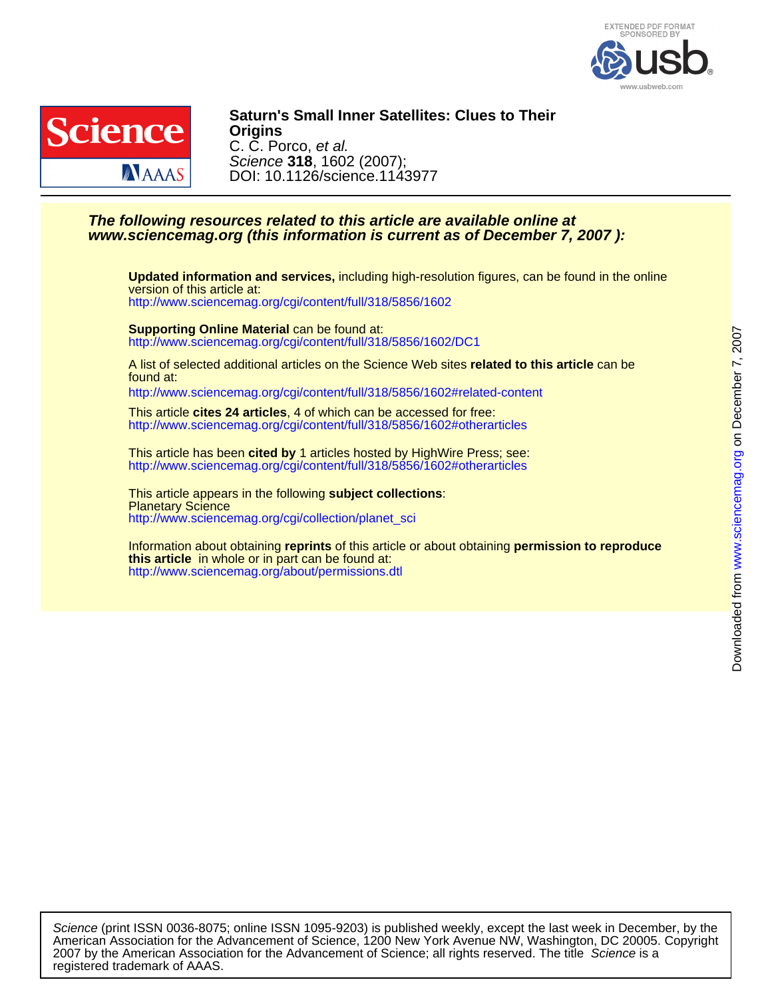



DOI: 10.1126/science.1143977 Science **318**, 1602 (2007); C. C. Porco, et al. **Origins Saturn's Small Inner Satellites: Clues to Their**

#### **www.sciencemag.org (this information is current as of December 7, 2007 ): The following resources related to this article are available online at**

<http://www.sciencemag.org/cgi/content/full/318/5856/1602> version of this article at: **Updated information and services,** including high-resolution figures, can be found in the online

<http://www.sciencemag.org/cgi/content/full/318/5856/1602/DC1> **Supporting Online Material** can be found at:

found at: A list of selected additional articles on the Science Web sites **related to this article** can be

<http://www.sciencemag.org/cgi/content/full/318/5856/1602#related-content>

<http://www.sciencemag.org/cgi/content/full/318/5856/1602#otherarticles> This article **cites 24 articles**, 4 of which can be accessed for free:

<http://www.sciencemag.org/cgi/content/full/318/5856/1602#otherarticles> This article has been **cited by** 1 articles hosted by HighWire Press; see:

[http://www.sciencemag.org/cgi/collection/planet\\_sci](http://www.sciencemag.org/cgi/collection/planet_sci) **Planetary Science** This article appears in the following **subject collections**:

<http://www.sciencemag.org/about/permissions.dtl> **this article** in whole or in part can be found at: Information about obtaining **reprints** of this article or about obtaining **permission to reproduce**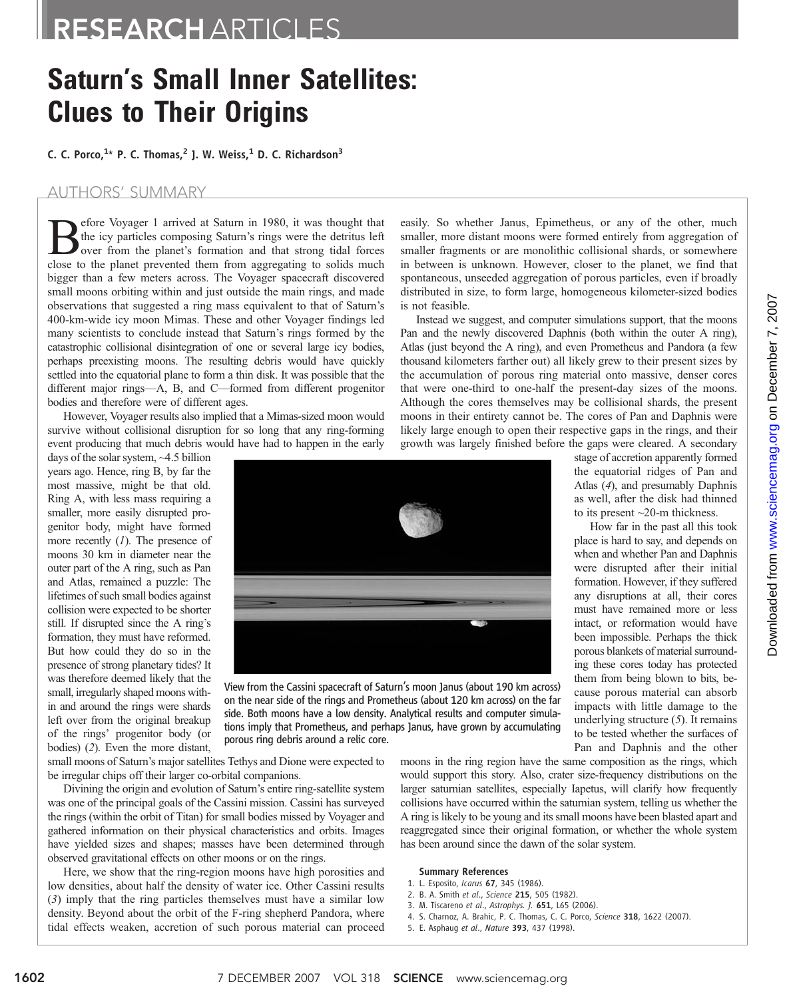# RESEARCH ARTICLES

# **Saturn's Small Inner Satellites:<br>Clues to Their Origins**

Clues to Their Origins C. C. Porco,1 \* P. C. Thomas,<sup>2</sup> J. W. Weiss,<sup>1</sup> D. C. Richardson<sup>3</sup>

#### AUTHORS' SUMMARY

**Before Voyager 1 arrived at Saturn in 1980, it was thought that**<br>the icy particles composing Saturn's rings were the detritus left<br>over from the planet's formation and that strong tidal forces<br>close to the planet prevente the icy particles composing Saturn's rings were the detritus left close to the planet prevented them from aggregating to solids much bigger than a few meters across. The Voyager spacecraft discovered small moons orbiting within and just outside the main rings, and made observations that suggested a ring mass equivalent to that of Saturn's 400-km-wide icy moon Mimas. These and other Voyager findings led many scientists to conclude instead that Saturn's rings formed by the catastrophic collisional disintegration of one or several large icy bodies, perhaps preexisting moons. The resulting debris would have quickly settled into the equatorial plane to form a thin disk. It was possible that the different major rings—A, B, and C—formed from different progenitor bodies and therefore were of different ages.

However, Voyager results also implied that a Mimas-sized moon would survive without collisional disruption for so long that any ring-forming event producing that much debris would have had to happen in the early

days of the solar system, ~4.5 billion years ago. Hence, ring B, by far the most massive, might be that old. Ring A, with less mass requiring a smaller, more easily disrupted progenitor body, might have formed more recently (1). The presence of moons 30 km in diameter near the outer part of the A ring, such as Pan and Atlas, remained a puzzle: The lifetimes of such small bodies against collision were expected to be shorter still. If disrupted since the A ring's formation, they must have reformed. But how could they do so in the presence of strong planetary tides? It was therefore deemed likely that the small, irregularly shaped moons within and around the rings were shards left over from the original breakup of the rings' progenitor body (or bodies) (2). Even the more distant,



View from the Cassini spacecraft of Saturn's moon Janus (about 190 km across) on the near side of the rings and Prometheus (about 120 km across) on the far side. Both moons have a low density. Analytical results and computer simulations imply that Prometheus, and perhaps Janus, have grown by accumulating porous ring debris around a relic core.

small moons of Saturn's major satellites Tethys and Dione were expected to be irregular chips off their larger co-orbital companions.

Divining the origin and evolution of Saturn's entire ring-satellite system was one of the principal goals of the Cassini mission. Cassini has surveyed the rings (within the orbit of Titan) for small bodies missed by Voyager and gathered information on their physical characteristics and orbits. Images have yielded sizes and shapes; masses have been determined through observed gravitational effects on other moons or on the rings.

Here, we show that the ring-region moons have high porosities and low densities, about half the density of water ice. Other Cassini results (3) imply that the ring particles themselves must have a similar low density. Beyond about the orbit of the F-ring shepherd Pandora, where tidal effects weaken, accretion of such porous material can proceed

moons in the ring region have the same composition as the rings, which would support this story. Also, crater size-frequency distributions on the larger saturnian satellites, especially Iapetus, will clarify how frequently collisions have occurred within the saturnian system, telling us whether the A ring is likely to be young and its small moons have been blasted apart and reaggregated since their original formation, or whether the whole system has been around since the dawn of the solar system.

#### Summary References

- 1. L. Esposito, Icarus 67, 345 (1986).
- 2. B. A. Smith et al., Science 215, 505 (1982).
- 3. M. Tiscareno et al., Astrophys. J. 651, L65 (2006).
- 4. S. Charnoz, A. Brahic, P. C. Thomas, C. C. Porco, Science 318, 1622 (2007).
- 5. E. Asphaug et al., Nature 393, 437 (1998).

smaller, more distant moons were formed entirely from aggregation of smaller fragments or are monolithic collisional shards, or somewhere in between is unknown. However, closer to the planet, we find that spontaneous, unseeded aggregation of porous particles, even if broadly distributed in size, to form large, homogeneous kilometer-sized bodies is not feasible.

easily. So whether Janus, Epimetheus, or any of the other, much

Instead we suggest, and computer simulations support, that the moons Pan and the newly discovered Daphnis (both within the outer A ring), Atlas (just beyond the A ring), and even Prometheus and Pandora (a few thousand kilometers farther out) all likely grew to their present sizes by the accumulation of porous ring material onto massive, denser cores that were one-third to one-half the present-day sizes of the moons. Although the cores themselves may be collisional shards, the present moons in their entirety cannot be. The cores of Pan and Daphnis were likely large enough to open their respective gaps in the rings, and their growth was largely finished before the gaps were cleared. A secondary

stage of accretion apparently formed the equatorial ridges of Pan and Atlas (4), and presumably Daphnis as well, after the disk had thinned to its present ~20-m thickness.

How far in the past all this took place is hard to say, and depends on when and whether Pan and Daphnis were disrupted after their initial formation. However, if they suffered any disruptions at all, their cores must have remained more or less intact, or reformation would have been impossible. Perhaps the thick porous blankets of material surrounding these cores today has protected them from being blown to bits, because porous material can absorb impacts with little damage to the underlying structure (5). It remains to be tested whether the surfaces of Pan and Daphnis and the other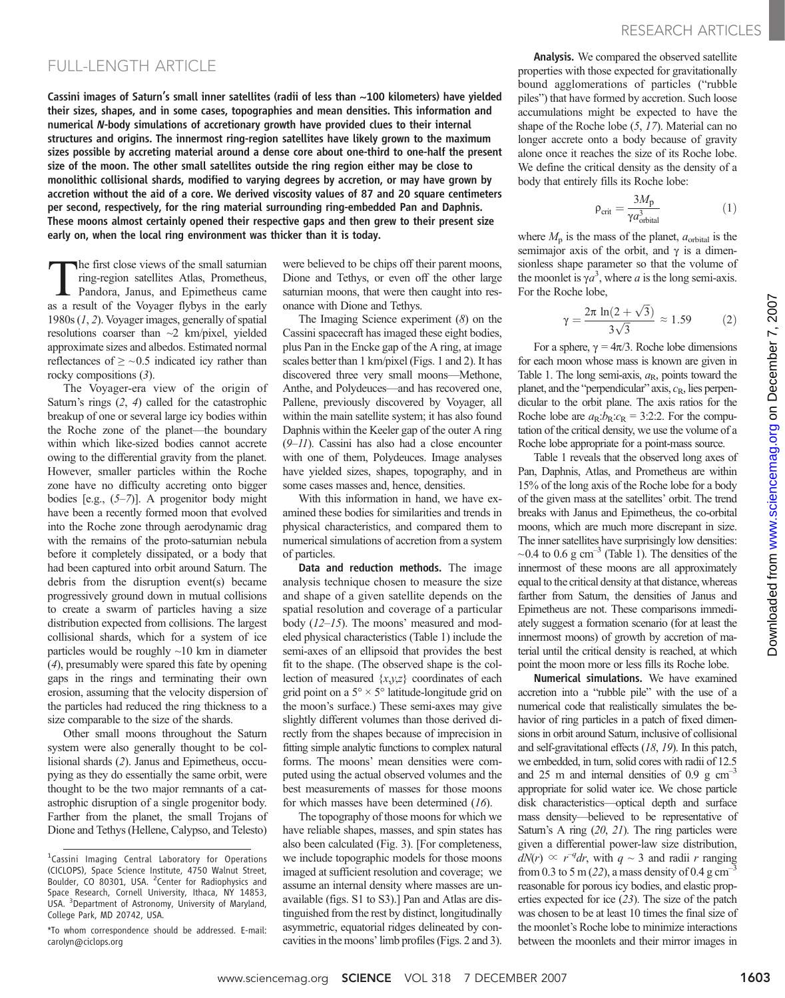## FULL-LENGTH ARTICLE

Cassini images of Saturn's small inner satellites (radii of less than ~100 kilometers) have yielded their sizes, shapes, and in some cases, topographies and mean densities. This information and numerical N-body simulations of accretionary growth have provided clues to their internal structures and origins. The innermost ring-region satellites have likely grown to the maximum sizes possible by accreting material around a dense core about one-third to one-half the present size of the moon. The other small satellites outside the ring region either may be close to monolithic collisional shards, modified to varying degrees by accretion, or may have grown by accretion without the aid of a core. We derived viscosity values of 87 and 20 square centimeters per second, respectively, for the ring material surrounding ring-embedded Pan and Daphnis. These moons almost certainly opened their respective gaps and then grew to their present size early on, when the local ring environment was thicker than it is today.

The first close views of the small saturnian ring-region satellites Atlas, Prometheus, Pandora, Janus, and Epimetheus came as a result of the Voyager flybys in the early 1980s (1, 2). Voyager images, generally of spatial resolutions coarser than ~2 km/pixel, yielded approximate sizes and albedos. Estimated normal reflectances of  $\geq$  ~0.5 indicated icy rather than rocky compositions (3).

The Voyager-era view of the origin of Saturn's rings (2, 4) called for the catastrophic breakup of one or several large icy bodies within the Roche zone of the planet—the boundary within which like-sized bodies cannot accrete owing to the differential gravity from the planet. However, smaller particles within the Roche zone have no difficulty accreting onto bigger bodies [e.g.,  $(5-7)$ ]. A progenitor body might have been a recently formed moon that evolved into the Roche zone through aerodynamic drag with the remains of the proto-saturnian nebula before it completely dissipated, or a body that had been captured into orbit around Saturn. The debris from the disruption event(s) became progressively ground down in mutual collisions to create a swarm of particles having a size distribution expected from collisions. The largest collisional shards, which for a system of ice particles would be roughly ~10 km in diameter (4), presumably were spared this fate by opening gaps in the rings and terminating their own erosion, assuming that the velocity dispersion of the particles had reduced the ring thickness to a size comparable to the size of the shards.

Other small moons throughout the Saturn system were also generally thought to be collisional shards (2). Janus and Epimetheus, occupying as they do essentially the same orbit, were thought to be the two major remnants of a catastrophic disruption of a single progenitor body. Farther from the planet, the small Trojans of Dione and Tethys (Hellene, Calypso, and Telesto)

were believed to be chips off their parent moons, Dione and Tethys, or even off the other large saturnian moons, that were then caught into resonance with Dione and Tethys.

The Imaging Science experiment (8) on the Cassini spacecraft has imaged these eight bodies, plus Pan in the Encke gap of the A ring, at image scales better than 1 km/pixel (Figs. 1 and 2). It has discovered three very small moons—Methone, Anthe, and Polydeuces—and has recovered one, Pallene, previously discovered by Voyager, all within the main satellite system; it has also found Daphnis within the Keeler gap of the outer A ring  $(9-11)$ . Cassini has also had a close encounter with one of them, Polydeuces. Image analyses have yielded sizes, shapes, topography, and in some cases masses and, hence, densities.

With this information in hand, we have examined these bodies for similarities and trends in physical characteristics, and compared them to numerical simulations of accretion from a system of particles.

Data and reduction methods. The image analysis technique chosen to measure the size and shape of a given satellite depends on the spatial resolution and coverage of a particular body (12–15). The moons' measured and modeled physical characteristics (Table 1) include the semi-axes of an ellipsoid that provides the best fit to the shape. (The observed shape is the collection of measured  $\{x,y,z\}$  coordinates of each grid point on a  $5^\circ \times 5^\circ$  latitude-longitude grid on the moon's surface.) These semi-axes may give slightly different volumes than those derived directly from the shapes because of imprecision in fitting simple analytic functions to complex natural forms. The moons' mean densities were computed using the actual observed volumes and the best measurements of masses for those moons for which masses have been determined (16).

The topography of those moons for which we have reliable shapes, masses, and spin states has also been calculated (Fig. 3). [For completeness, we include topographic models for those moons imaged at sufficient resolution and coverage; we assume an internal density where masses are unavailable (figs. S1 to S3).] Pan and Atlas are distinguished from the rest by distinct, longitudinally asymmetric, equatorial ridges delineated by concavities in the moons'limb profiles (Figs. 2 and 3).

Analysis. We compared the observed satellite properties with those expected for gravitationally bound agglomerations of particles ("rubble piles") that have formed by accretion. Such loose accumulations might be expected to have the shape of the Roche lobe (5, 17). Material can no longer accrete onto a body because of gravity alone once it reaches the size of its Roche lobe. We define the critical density as the density of a body that entirely fills its Roche lobe:

$$
\rho_{\rm crit} = \frac{3M_{\rm p}}{\gamma a_{\rm orbital}^3} \tag{1}
$$

where  $M_p$  is the mass of the planet,  $a_{\text{orbital}}$  is the semimajor axis of the orbit, and  $\gamma$  is a dimensionless shape parameter so that the volume of the moonlet is  $\gamma a^3$ , where a is the long semi-axis.<br>For the Roche lobe For the Roche lobe,

$$
\gamma = \frac{2\pi \ln(2 + \sqrt{3})}{3\sqrt{3}} \approx 1.59\tag{2}
$$

For a sphere,  $\gamma = 4\pi/3$ . Roche lobe dimensions for each moon whose mass is known are given in Table 1. The long semi-axis,  $a_R$ , points toward the planet, and the "perpendicular" axis,  $c_R$ , lies perpendicular to the orbit plane. The axis ratios for the Roche lobe are  $a_R$ : $b_R$ : $c_R$  = 3:2:2. For the computation of the critical density, we use the volume of a Roche lobe appropriate for a point-mass source.

Table 1 reveals that the observed long axes of Pan, Daphnis, Atlas, and Prometheus are within 15% of the long axis of the Roche lobe for a body of the given mass at the satellites' orbit. The trend breaks with Janus and Epimetheus, the co-orbital moons, which are much more discrepant in size. The inner satellites have surprisingly low densities:  $\sim$ 0.4 to 0.6 g cm<sup>-3</sup> (Table 1). The densities of the innermost of these moons are all approximately equal to the critical density at that distance, whereas farther from Saturn, the densities of Janus and Epimetheus are not. These comparisons immediately suggest a formation scenario (for at least the innermost moons) of growth by accretion of material until the critical density is reached, at which point the moon more or less fills its Roche lobe.

Numerical simulations. We have examined accretion into a "rubble pile" with the use of a numerical code that realistically simulates the behavior of ring particles in a patch of fixed dimensions in orbit around Saturn, inclusive of collisional and self-gravitational effects (18, 19). In this patch, we embedded, in turn, solid cores with radii of 12.5 and 25 m and internal densities of 0.9 g  $cm^{-3}$ appropriate for solid water ice. We chose particle disk characteristics—optical depth and surface mass density—believed to be representative of Saturn's A ring (20, 21). The ring particles were given a differential power-law size distribution,  $dN(r) \propto r^{-q} dr$ , with  $q \sim 3$  and radii r ranging from 0.3 to 5 m (22), a mass density of 0.4 g cm<sup>-</sup> reasonable for porous icy bodies, and elastic properties expected for ice (23). The size of the patch was chosen to be at least 10 times the final size of the moonlet's Roche lobe to minimize interactions between the moonlets and their mirror images in

<sup>&</sup>lt;sup>1</sup>Cassini Imaging Central Laboratory for Operations (CICLOPS), Space Science Institute, 4750 Walnut Street, Boulder, CO 80301, USA. <sup>2</sup> Center for Radiophysics and Space Research, Cornell University, Ithaca, NY 14853, USA. <sup>3</sup>Department of Astronomy, University of Maryland, College Park, MD 20742, USA.

<sup>\*</sup>To whom correspondence should be addressed. E-mail: carolyn@ciclops.org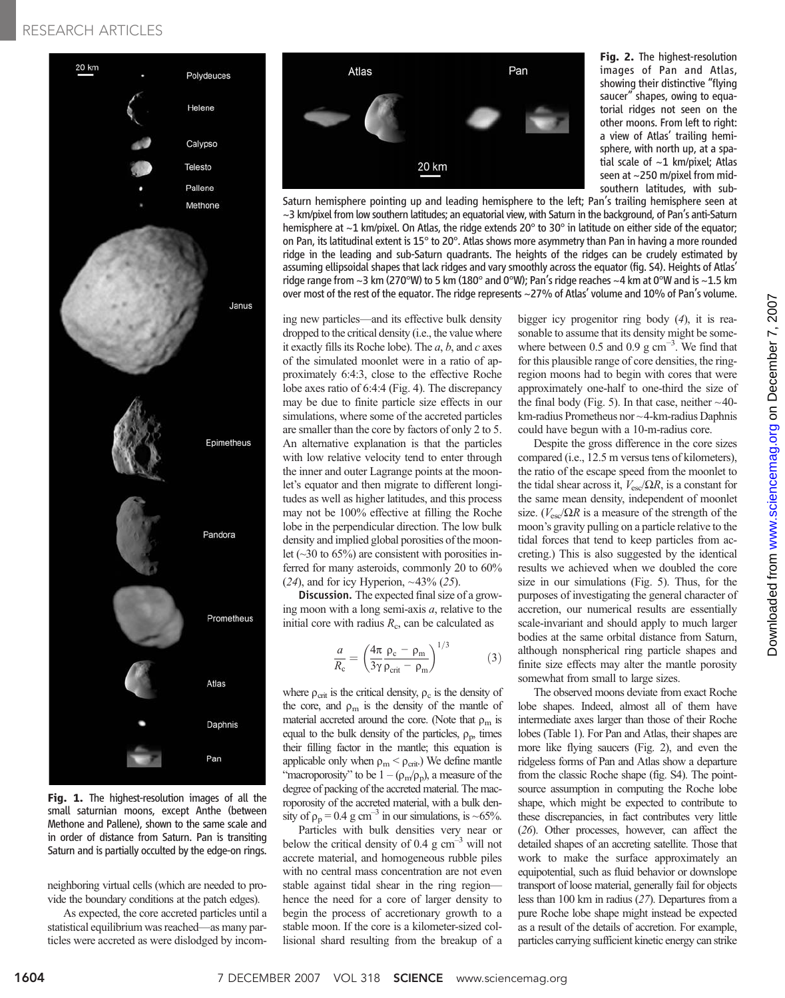## RESEARCH ARTICLES



Fig. 1. The highest-resolution images of all the small saturnian moons, except Anthe (between Methone and Pallene), shown to the same scale and in order of distance from Saturn. Pan is transiting Saturn and is partially occulted by the edge-on rings.

neighboring virtual cells (which are needed to provide the boundary conditions at the patch edges).

As expected, the core accreted particles until a statistical equilibrium was reached—as many particles were accreted as were dislodged by incom-



Saturn hemisphere pointing up and leading hemisphere to the left; Pan's trailing hemisphere seen at  $\sim$ 3 km/pixel from low southern latitudes; an equatorial view, with Saturn in the background, of Pan's anti-Saturn hemisphere at ~1 km/pixel. On Atlas, the ridge extends 20° to 30° in latitude on either side of the equator; on Pan, its latitudinal extent is 15° to 20°. Atlas shows more asymmetry than Pan in having a more rounded ridge in the leading and sub-Saturn quadrants. The heights of the ridges can be crudely estimated by assuming ellipsoidal shapes that lack ridges and vary smoothly across the equator (fig. S4). Heights of Atlas' ridge range from ~3 km (270°W) to 5 km (180° and 0°W); Pan's ridge reaches ~4 km at 0°W and is ~1.5 km over most of the rest of the equator. The ridge represents ~27% of Atlas' volume and 10% of Pan's volume.

ing new particles—and its effective bulk density dropped to the critical density (i.e., the value where it exactly fills its Roche lobe). The  $a, b$ , and  $c$  axes of the simulated moonlet were in a ratio of approximately 6:4:3, close to the effective Roche lobe axes ratio of 6:4:4 (Fig. 4). The discrepancy may be due to finite particle size effects in our simulations, where some of the accreted particles are smaller than the core by factors of only 2 to 5. An alternative explanation is that the particles with low relative velocity tend to enter through the inner and outer Lagrange points at the moonlet's equator and then migrate to different longitudes as well as higher latitudes, and this process may not be 100% effective at filling the Roche lobe in the perpendicular direction. The low bulk density and implied global porosities of the moonlet  $(\sim]30$  to 65%) are consistent with porosities inferred for many asteroids, commonly 20 to 60%  $(24)$ , and for icy Hyperion, ~43%  $(25)$ .

Discussion. The expected final size of a growing moon with a long semi-axis  $a$ , relative to the initial core with radius  $R<sub>c</sub>$ , can be calculated as

$$
\frac{a}{R_{\rm c}} = \left(\frac{4\pi}{3\gamma} \frac{\rho_{\rm c} - \rho_{\rm m}}{\rho_{\rm crit} - \rho_{\rm m}}\right)^{1/3} \tag{3}
$$

where  $\rho_{\rm crit}$  is the critical density,  $\rho_c$  is the density of the core, and  $\rho_m$  is the density of the mantle of material accreted around the core. (Note that  $\rho_m$  is equal to the bulk density of the particles,  $\rho_p$ , times their filling factor in the mantle; this equation is applicable only when  $\rho_m < \rho_{crit}$ .) We define mantle "macroporosity" to be  $1 - (\rho_m/\rho_p)$ , a measure of the degree of packing of the accreted material. The macroporosity of the accreted material, with a bulk density of  $\rho_p = 0.4$  g cm<sup>-3</sup> in our simulations, is ~65%.

Particles with bulk densities very near or below the critical density of 0.4  $\text{g cm}^{-3}$  will not accrete material, and homogeneous rubble piles with no central mass concentration are not even stable against tidal shear in the ring region hence the need for a core of larger density to begin the process of accretionary growth to a stable moon. If the core is a kilometer-sized collisional shard resulting from the breakup of a bigger icy progenitor ring body (4), it is reasonable to assume that its density might be somewhere between 0.5 and 0.9  $\text{g cm}^{-3}$ . We find that for this plausible range of core densities, the ringregion moons had to begin with cores that were approximately one-half to one-third the size of the final body (Fig. 5). In that case, neither  $\sim$ 40km-radius Prometheus nor ~4-km-radius Daphnis could have begun with a 10-m-radius core.

Fig. 2. The highest-resolution images of Pan and Atlas, showing their distinctive "flying saucer" shapes, owing to equatorial ridges not seen on the other moons. From left to right: a view of Atlas' trailing hemisphere, with north up, at a spatial scale of ~1 km/pixel; Atlas seen at ~250 m/pixel from midsouthern latitudes, with sub-

Despite the gross difference in the core sizes compared (i.e., 12.5 m versus tens of kilometers), the ratio of the escape speed from the moonlet to the tidal shear across it,  $V_{\text{esc}}/\Omega R$ , is a constant for the same mean density, independent of moonlet size. ( $V_{\text{esc}}/\Omega R$  is a measure of the strength of the moon's gravity pulling on a particle relative to the tidal forces that tend to keep particles from accreting.) This is also suggested by the identical results we achieved when we doubled the core size in our simulations (Fig. 5). Thus, for the purposes of investigating the general character of accretion, our numerical results are essentially scale-invariant and should apply to much larger bodies at the same orbital distance from Saturn, although nonspherical ring particle shapes and finite size effects may alter the mantle porosity somewhat from small to large sizes.

The observed moons deviate from exact Roche lobe shapes. Indeed, almost all of them have intermediate axes larger than those of their Roche lobes (Table 1). For Pan and Atlas, their shapes are more like flying saucers (Fig. 2), and even the ridgeless forms of Pan and Atlas show a departure from the classic Roche shape (fig. S4). The pointsource assumption in computing the Roche lobe shape, which might be expected to contribute to these discrepancies, in fact contributes very little (26). Other processes, however, can affect the detailed shapes of an accreting satellite. Those that work to make the surface approximately an equipotential, such as fluid behavior or downslope transport of loose material, generally fail for objects less than 100 km in radius (27). Departures from a pure Roche lobe shape might instead be expected as a result of the details of accretion. For example, particles carrying sufficient kinetic energy can strike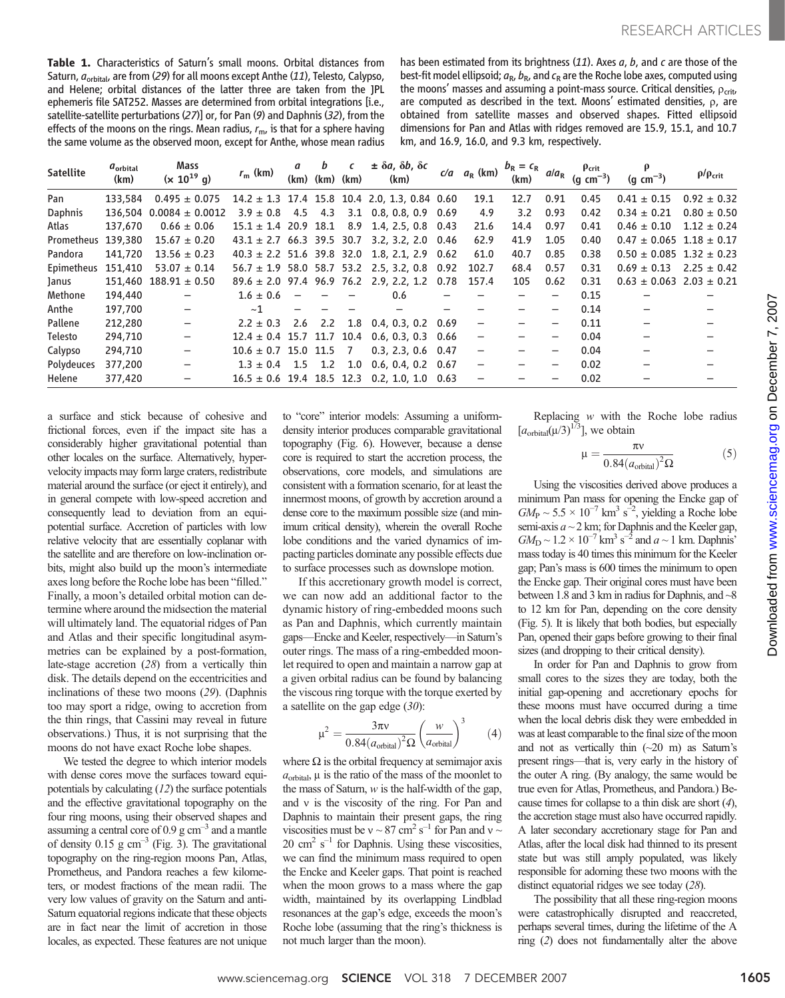Table 1. Characteristics of Saturn's small moons. Orbital distances from Saturn,  $a_{orbital}$  are from (29) for all moons except Anthe (11), Telesto, Calypso, and Helene; orbital distances of the latter three are taken from the JPL ephemeris file SAT252. Masses are determined from orbital integrations [i.e., satellite-satellite perturbations (27)] or, for Pan (9) and Daphnis (32), from the effects of the moons on the rings. Mean radius,  $r_{\rm m}$ , is that for a sphere having the same volume as the observed moon, except for Anthe, whose mean radius

has been estimated from its brightness  $(11)$ . Axes  $a, b$ , and  $c$  are those of the best-fit model ellipsoid;  $a_{\rm R}$ ,  $b_{\rm R}$ , and  $c_{\rm R}$  are the Roche lobe axes, computed using the moons' masses and assuming a point-mass source. Critical densities,  $\rho_{\text{crit}}$ , are computed as described in the text. Moons' estimated densities,  $\rho$ , are obtained from satellite masses and observed shapes. Fitted ellipsoid dimensions for Pan and Atlas with ridges removed are 15.9, 15.1, and 10.7 km, and 16.9, 16.0, and 9.3 km, respectively.

| <b>Satellite</b> | $a_{\rm orbital}$<br>(km) | Mass<br>$(x 10^{19} g)$                                                | $r_{\rm m}$ (km)           | a<br>(km) | b<br>(km) (km) | C | $\pm \delta a$ , $\delta b$ , $\delta c$<br>(km)  | $c/a$ $a_R$ (km) | $b_{\rm R} = c_{\rm R}$<br>(km) | $a/a_{R}$ | Pcrit<br>(g $cm^{-3}$ ) | (g $cm^{-3}$ )                   | $\rho/\rho_{\rm crit}$ |
|------------------|---------------------------|------------------------------------------------------------------------|----------------------------|-----------|----------------|---|---------------------------------------------------|------------------|---------------------------------|-----------|-------------------------|----------------------------------|------------------------|
| Pan              | 133,584                   | $0.495 \pm 0.075$                                                      |                            |           |                |   | $14.2 \pm 1.3$ 17.4 15.8 10.4 2.0, 1.3, 0.84 0.60 | 19.1             | 12.7                            | 0.91      | 0.45                    | $0.41 \pm 0.15$                  | $0.92 \pm 0.32$        |
| <b>Daphnis</b>   |                           | $136,504$ 0.0084 ± 0.0012 $3.9 \pm 0.8$ 4.5 4.3 3.1 0.8, 0.8, 0.9 0.69 |                            |           |                |   |                                                   | 4.9              | 3.2                             | 0.93      | 0.42                    | $0.34 \pm 0.21$                  | $0.80 \pm 0.50$        |
| Atlas            | 137,670                   | $0.66 \pm 0.06$                                                        |                            |           |                |   | $15.1 \pm 1.4$ 20.9 18.1 8.9 1.4, 2.5, 0.8 0.43   | 21.6             | 14.4                            | 0.97      | 0.41                    | $0.46 \pm 0.10$                  | $1.12 \pm 0.24$        |
| Prometheus       | 139,380                   | $15.67 \pm 0.20$                                                       |                            |           |                |   | $43.1 \pm 2.7$ 66.3 39.5 30.7 3.2, 3.2, 2.0 0.46  | 62.9             | 41.9                            | 1.05      | 0.40                    | $0.47 \pm 0.065$ 1.18 $\pm$ 0.17 |                        |
| Pandora          | 141,720                   | $13.56 \pm 0.23$                                                       |                            |           |                |   | $40.3 \pm 2.2$ 51.6 39.8 32.0 1.8, 2.1, 2.9 0.62  | 61.0             | 40.7                            | 0.85      | 0.38                    | $0.50 \pm 0.085$ 1.32 $\pm$ 0.23 |                        |
| Epimetheus       | 151,410                   | $53.07 \pm 0.14$                                                       |                            |           |                |   | $56.7 \pm 1.9$ 58.0 58.7 53.2 2.5, 3.2, 0.8 0.92  | 102.7            | 68.4                            | 0.57      | 0.31                    | $0.69 \pm 0.13$                  | $2.25 \pm 0.42$        |
| Janus            |                           | $151,460$ $188.91 \pm 0.50$                                            |                            |           |                |   | $89.6 \pm 2.0$ 97.4 96.9 76.2 2.9, 2.2, 1.2 0.78  | 157.4            | 105                             | 0.62      | 0.31                    | $0.63 \pm 0.063$ 2.03 $\pm$ 0.21 |                        |
| Methone          | 194,440                   |                                                                        | $1.6 \pm 0.6$              |           |                |   | 0.6                                               |                  |                                 |           | 0.15                    |                                  |                        |
| Anthe            | 197,700                   | $\qquad \qquad -$                                                      | ~1                         |           |                |   |                                                   |                  |                                 |           | 0.14                    |                                  |                        |
| Pallene          | 212,280                   | $\overline{\phantom{m}}$                                               | $2.2 \pm 0.3$              |           |                |   | 2.6 2.2 1.8 0.4, 0.3, 0.2 0.69                    |                  |                                 |           | 0.11                    |                                  |                        |
| Telesto          | 294,710                   | $\qquad \qquad -$                                                      |                            |           |                |   | $12.4 \pm 0.4$ 15.7 11.7 10.4 0.6, 0.3, 0.3 0.66  |                  |                                 |           | 0.04                    |                                  |                        |
| Calypso          | 294,710                   | $\overline{\phantom{0}}$                                               | $10.6 \pm 0.7$ 15.0 11.5 7 |           |                |   | $0.3, 2.3, 0.6$ 0.47                              |                  |                                 |           | 0.04                    |                                  |                        |
| Polydeuces       | 377,200                   |                                                                        |                            |           |                |   | $1.3 \pm 0.4$ 1.5 1.2 1.0 0.6, 0.4, 0.2 0.67      |                  |                                 |           | 0.02                    |                                  |                        |
| Helene           | 377,420                   |                                                                        |                            |           |                |   | $16.5 \pm 0.6$ 19.4 18.5 12.3 0.2, 1.0, 1.0 0.63  |                  |                                 |           | 0.02                    |                                  |                        |

a surface and stick because of cohesive and frictional forces, even if the impact site has a considerably higher gravitational potential than other locales on the surface. Alternatively, hypervelocity impacts may form large craters, redistribute material around the surface (or eject it entirely), and in general compete with low-speed accretion and consequently lead to deviation from an equipotential surface. Accretion of particles with low relative velocity that are essentially coplanar with the satellite and are therefore on low-inclination orbits, might also build up the moon's intermediate axes long before the Roche lobe has been "filled." Finally, a moon's detailed orbital motion can determine where around the midsection the material will ultimately land. The equatorial ridges of Pan and Atlas and their specific longitudinal asymmetries can be explained by a post-formation, late-stage accretion (28) from a vertically thin disk. The details depend on the eccentricities and inclinations of these two moons (29). (Daphnis too may sport a ridge, owing to accretion from the thin rings, that Cassini may reveal in future observations.) Thus, it is not surprising that the moons do not have exact Roche lobe shapes.

We tested the degree to which interior models with dense cores move the surfaces toward equipotentials by calculating (12) the surface potentials and the effective gravitational topography on the four ring moons, using their observed shapes and assuming a central core of  $0.9 \text{ g cm}^{-3}$  and a mantle of density  $0.15$  g cm<sup>-3</sup> (Fig. 3). The gravitational topography on the ring-region moons Pan, Atlas, Prometheus, and Pandora reaches a few kilometers, or modest fractions of the mean radii. The very low values of gravity on the Saturn and anti-Saturn equatorial regions indicate that these objects are in fact near the limit of accretion in those locales, as expected. These features are not unique

to "core" interior models: Assuming a uniformdensity interior produces comparable gravitational topography (Fig. 6). However, because a dense core is required to start the accretion process, the observations, core models, and simulations are consistent with a formation scenario, for at least the innermost moons, of growth by accretion around a dense core to the maximum possible size (and minimum critical density), wherein the overall Roche lobe conditions and the varied dynamics of impacting particles dominate any possible effects due to surface processes such as downslope motion.

If this accretionary growth model is correct, we can now add an additional factor to the dynamic history of ring-embedded moons such as Pan and Daphnis, which currently maintain gaps—Encke and Keeler, respectively—in Saturn's outer rings. The mass of a ring-embedded moonlet required to open and maintain a narrow gap at a given orbital radius can be found by balancing the viscous ring torque with the torque exerted by a satellite on the gap edge  $(30)$ :

$$
\mu^2 = \frac{3\pi v}{0.84\left(a_{\text{orbital}}\right)^2 \Omega} \left(\frac{w}{a_{\text{orbital}}}\right)^3 \qquad (4)
$$

where  $\Omega$  is the orbital frequency at semimajor axis  $\alpha_{\text{max}}$  is the ratio of the mass of the moonlet to  $a_{\text{orbital}}$ ,  $\mu$  is the ratio of the mass of the moonlet to the mass of Saturn,  $w$  is the half-width of the gap, and  $v$  is the viscosity of the ring. For Pan and Daphnis to maintain their present gaps, the ring viscosities must be  $v \sim 87 \text{ cm}^2 \text{ s}^{-1}$  for Pan and  $v \sim 20 \text{ cm}^2 \text{ s}^{-1}$  for Daphnis Using these viscosities  $20 \text{ cm}^2 \text{ s}^{-1}$  for Daphnis. Using these viscosities, we can find the minimum mass required to open the Encke and Keeler gaps. That point is reached when the moon grows to a mass where the gap width, maintained by its overlapping Lindblad resonances at the gap's edge, exceeds the moon's Roche lobe (assuming that the ring's thickness is not much larger than the moon).

Replacing w with the Roche lobe radius  $[a_{\text{orbital}}(\mu/3)^{1/3}]$ , we obtain

$$
\mu = \frac{\pi v}{0.84 \left( a_{\text{orbital}} \right)^2 \Omega} \tag{5}
$$

Using the viscosities derived above produces a minimum Pan mass for opening the Encke gap of  $GM_{\rm P} \sim 5.5 \times 10^{-7} \text{ km}^3 \text{ s}^{-2}$ , yielding a Roche lobe semi-axis  $a \sim 2$  km; for Daphnis and the Keeler gap,  $GM_{\rm D} \sim 1.2 \times 10^{-7} \text{ km}^3 \text{ s}^{-2}$  and  $a \sim 1 \text{ km}$ . Daphnis' mass today is 40 times this minimum for the Keeler gap; Pan's mass is 600 times the minimum to open the Encke gap. Their original cores must have been between 1.8 and 3 km in radius for Daphnis, and ~8 to 12 km for Pan, depending on the core density (Fig. 5). It is likely that both bodies, but especially Pan, opened their gaps before growing to their final sizes (and dropping to their critical density).

In order for Pan and Daphnis to grow from small cores to the sizes they are today, both the initial gap-opening and accretionary epochs for these moons must have occurred during a time when the local debris disk they were embedded in was at least comparable to the final size of the moon and not as vertically thin  $(-20 \text{ m})$  as Saturn's present rings—that is, very early in the history of the outer A ring. (By analogy, the same would be true even for Atlas, Prometheus, and Pandora.) Because times for collapse to a thin disk are short (4), the accretion stage must also have occurred rapidly. A later secondary accretionary stage for Pan and Atlas, after the local disk had thinned to its present state but was still amply populated, was likely responsible for adorning these two moons with the distinct equatorial ridges we see today (28).

The possibility that all these ring-region moons were catastrophically disrupted and reaccreted, perhaps several times, during the lifetime of the A ring (2) does not fundamentally alter the above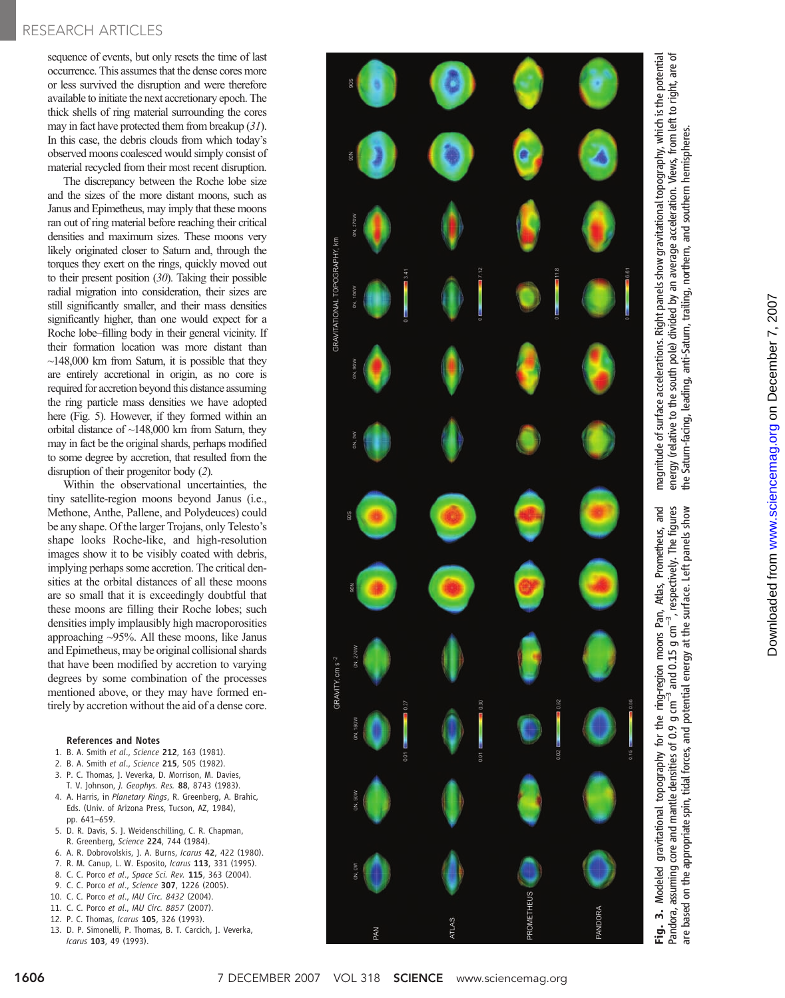## RESEARCH ARTICLES

sequence of events, but only resets the time of last occurrence. This assumes that the dense cores more or less survived the disruption and were therefore available to initiate the next accretionary epoch. The thick shells of ring material surrounding the cores may in fact have protected them from breakup (31). In this case, the debris clouds from which today ' s observed moons coalesced would simply consist of material recycled from their most recent disruption.

The discrepancy between the Roche lobe size and the sizes of the more distant moons, such as Janus and Epimetheus, may imply that these moons ran out of ring material before reaching their critical densities and maximum sizes. These moons very likely originated closer to Saturn and, through the torques they exert on the rings, quickly moved out to their present position (30). Taking their possible radial migration into consideration, their sizes are still significantly smaller, and their mass densities significantly higher, than one would expect for a Roche lobe–filling body in their general vicinity. If their formation location was more distant than  $\sim$ 148,000 km from Saturn, it is possible that they are entirely accretional in origin, as no core is required for accretion beyond this distance assuming the ring particle mass densities we have adopted here (Fig. 5). However, if they formed within an orbital distance of ~148,000 km from Saturn, they may in fact be the original shards, perhaps modified to some degree by accretion, that resulted from the disruption of their progenitor body (2).

Within the observational uncertainties, the tiny satellite-region moons beyond Janus (i.e., Methone, Anthe, Pallene, and Polydeuces) could be any shape. Of the larger Trojans, only Telesto ' s shape looks Roche-like, and high-resolution images show it to be visibly coated with debris, implying perhaps some accretion. The critical densities at the orbital distances of all these moons are so small that it is exceedingly doubtful that these moons are filling their Roche lobes; such densities imply implausibly high macroporosities approaching ~95%. All these moons, like Janus and Epimetheus, may be original collisional shards that have been modified by accretion to varying degrees by some combination of the processes mentioned above, or they may have formed entirely by accretion without the aid of a dense core.

#### References and Notes

- 1. B. A. Smith et al., Science 212, 163 (1981).
- 2. B. A. Smith et al., Science 215, 505 (1982).
- 3. P. C. Thomas, J. Veverka, D. Morrison, M. Davies,
- T. V. Johnson, J. Geophys. Res. 88, 8743 (1983).
- 4. A. Harris, in Planetary Rings, R. Greenberg, A. Brahic, Eds. (Univ. of Arizona Press, Tucson, AZ, 1984), pp. 641 –659.
- 5. D. R. Davis, S. J. Weidenschilling, C. R. Chapman, R. Greenberg, Science 224, 744 (1984).
- 6. A. R. Dobrovolskis, J. A. Burns, Icarus 42, 422 (1980).
- 7. R. M. Canup, L. W. Esposito, Icarus 113, 331 (1995).
- 8. C. C. Porco et al., Space Sci. Rev. 115, 363 (2004).
- 9. C. C. Porco et al., Science 307, 1226 (2005).
- 10. C. C. Porco et al., IAU Circ. 8432 (2004).
- 11. C. C. Porco et al., IAU Circ. 8857 (2007).
- 12. P. C. Thomas, Icarus 105, 326 (1993).
- 13. D. P. Simonelli, P. Thomas, B. T. Carcich, J. Veverka, Icarus 103, 49 (1993).

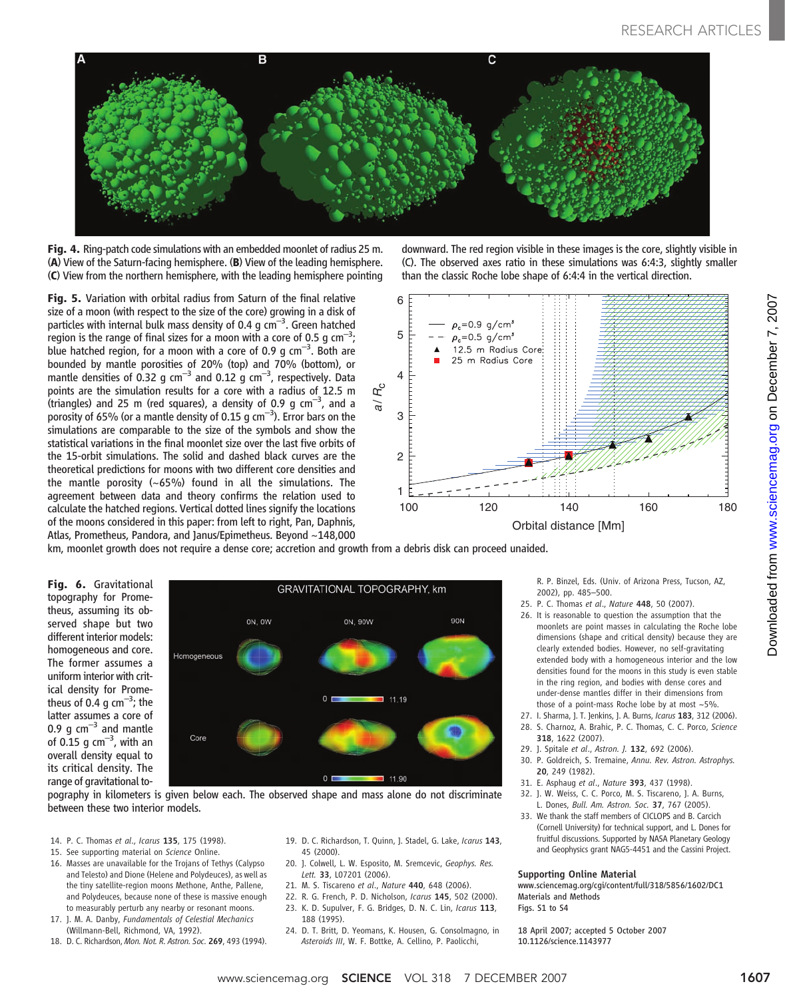

Fig. 4. Ring-patch code simulations with an embedded moonlet of radius 25 m. (A) View of the Saturn-facing hemisphere. (B) View of the leading hemisphere. (C) View from the northern hemisphere, with the leading hemisphere pointing

Fig. 5. Variation with orbital radius from Saturn of the final relative size of a moon (with respect to the size of the core) growing in a disk of particles with internal bulk mass density of 0.4  $g$  cm<sup>-3</sup>. Green hatched  $\overline{\phantom{a}}$  region is the range of final sizes for a moon with a core of 0.5 g cm $^{-3};$ blue hatched region, for a moon with a core of 0.9 g  $\text{cm}^{-3}$ . Both are bounded by mantle porosities of 20% (top) and 70% (bottom), or mantle densities of 0.32 g  $\text{cm}^{-3}$  and 0.12 g  $\text{cm}^{-3}$ , respectively. Data points are the simulation results for a core with a radius of 12.5 m .<br>(triangles) and 25 m (red squares), a density of 0.9 g cm<sup>-3</sup>, and a porosity of 65% (or a mantle density of 0.15 g  $\text{cm}^{-3}$ ). Error bars on the simulations are comparable to the size of the symbols and show the statistical variations in the final moonlet size over the last five orbits of the 15-orbit simulations. The solid and dashed black curves are the theoretical predictions for moons with two different core densities and the mantle porosity (~65%) found in all the simulations. The agreement between data and theory confirms the relation used to calculate the hatched regions. Vertical dotted lines signify the locations of the moons considered in this paper: from left to right, Pan, Daphnis, Atlas, Prometheus, Pandora, and Janus/Epimetheus. Beyond ~148,000

downward. The red region visible in these images is the core, slightly visible in (C). The observed axes ratio in these simulations was 6:4:3, slightly smaller than the classic Roche lobe shape of 6:4:4 in the vertical direction.



km, moonlet growth does not require a dense core; accretion and growth from a debris disk can proceed unaided.

Fig. 6. Gravitational topography for Prometheus, assuming its observed shape but two different interior models: homogeneous and core. The former assumes a uniform interior with critical density for Prometheus of 0.4 g  $\text{cm}^{-3}$ ; the latter assumes a core of 0.9  $\alpha$  cm<sup>-3</sup> and mantle of 0.15  $\rm g$  cm $^{-3}$ , with an overall density equal to its critical density. The range of gravitational to-



pography in kilometers is given below each. The observed shape and mass alone do not discriminate between these two interior models.

- 14. P. C. Thomas et al., Icarus 135, 175 (1998).
- 15. See supporting material on Science Online.
- 16. Masses are unavailable for the Trojans of Tethys (Calypso and Telesto) and Dione (Helene and Polydeuces), as well as the tiny satellite-region moons Methone, Anthe, Pallene, and Polydeuces, because none of these is massive enough to measurably perturb any nearby or resonant moons.
- 17. J. M. A. Danby, Fundamentals of Celestial Mechanics (Willmann-Bell, Richmond, VA, 1992).
- 18. D. C. Richardson, Mon. Not. R. Astron. Soc. 269, 493 (1994).
- 19. D. C. Richardson, T. Quinn, J. Stadel, G. Lake, Icarus 143, 45 (2000).
- 20. J. Colwell, L. W. Esposito, M. Sremcevic, Geophys. Res. Lett. 33, L07201 (2006).
- 21. M. S. Tiscareno et al., Nature 440, 648 (2006).
- 22. R. G. French, P. D. Nicholson, Icarus 145, 502 (2000).
- 23. K. D. Supulver, F. G. Bridges, D. N. C. Lin, Icarus 113,
- 188 (1995).
- 24. D. T. Britt, D. Yeomans, K. Housen, G. Consolmagno, in Asteroids III, W. F. Bottke, A. Cellino, P. Paolicchi,

R. P. Binzel, Eds. (Univ. of Arizona Press, Tucson, AZ, 2002), pp. 485–500.

- 25. P. C. Thomas et al., Nature 448, 50 (2007).
- 26. It is reasonable to question the assumption that the moonlets are point masses in calculating the Roche lobe dimensions (shape and critical density) because they are clearly extended bodies. However, no self-gravitating extended body with a homogeneous interior and the low densities found for the moons in this study is even stable in the ring region, and bodies with dense cores and under-dense mantles differ in their dimensions from those of a point-mass Roche lobe by at most  $\sim$  5%.
- 27. I. Sharma, J. T. Jenkins, J. A. Burns, Icarus 183, 312 (2006).
- 28. S. Charnoz, A. Brahic, P. C. Thomas, C. C. Porco, Science 318, 1622 (2007).
- 29. I. Spitale et al., Astron. I. 132, 692 (2006).
- 30. P. Goldreich, S. Tremaine, Annu. Rev. Astron. Astrophys. 20, 249 (1982).
- 31. E. Asphaug et al., Nature 393, 437 (1998).
- 32. J. W. Weiss, C. C. Porco, M. S. Tiscareno, J. A. Burns, L. Dones, Bull. Am. Astron. Soc. 37, 767 (2005).
- 33. We thank the staff members of CICLOPS and B. Carcich (Cornell University) for technical support, and L. Dones for fruitful discussions. Supported by NASA Planetary Geology and Geophysics grant NAG5-4451 and the Cassini Project.

#### Supporting Online Material

www.sciencemag.org/cgi/content/full/318/5856/1602/DC1 Materials and Methods Figs. S1 to S4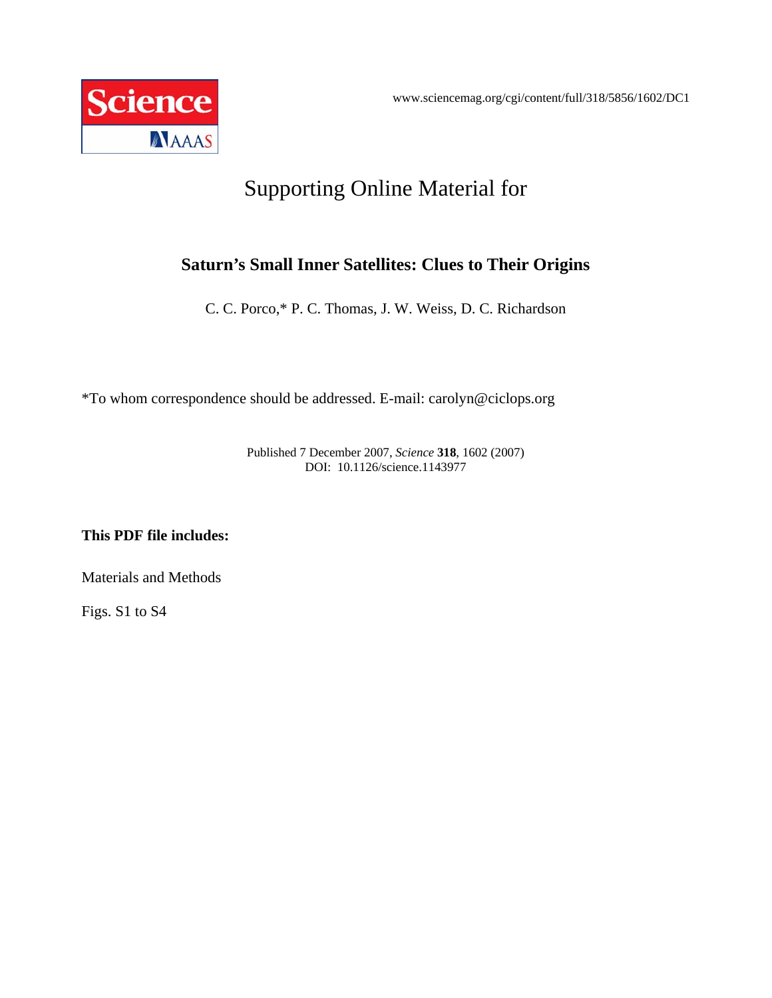

## Supporting Online Material for

## **Saturn's Small Inner Satellites: Clues to Their Origins**

C. C. Porco,\* P. C. Thomas, J. W. Weiss, D. C. Richardson

\*To whom correspondence should be addressed. E-mail: carolyn@ciclops.org

Published 7 December 2007, *Science* **318**, 1602 (2007) DOI: 10.1126/science.1143977

**This PDF file includes:** 

Materials and Methods

Figs. S1 to S4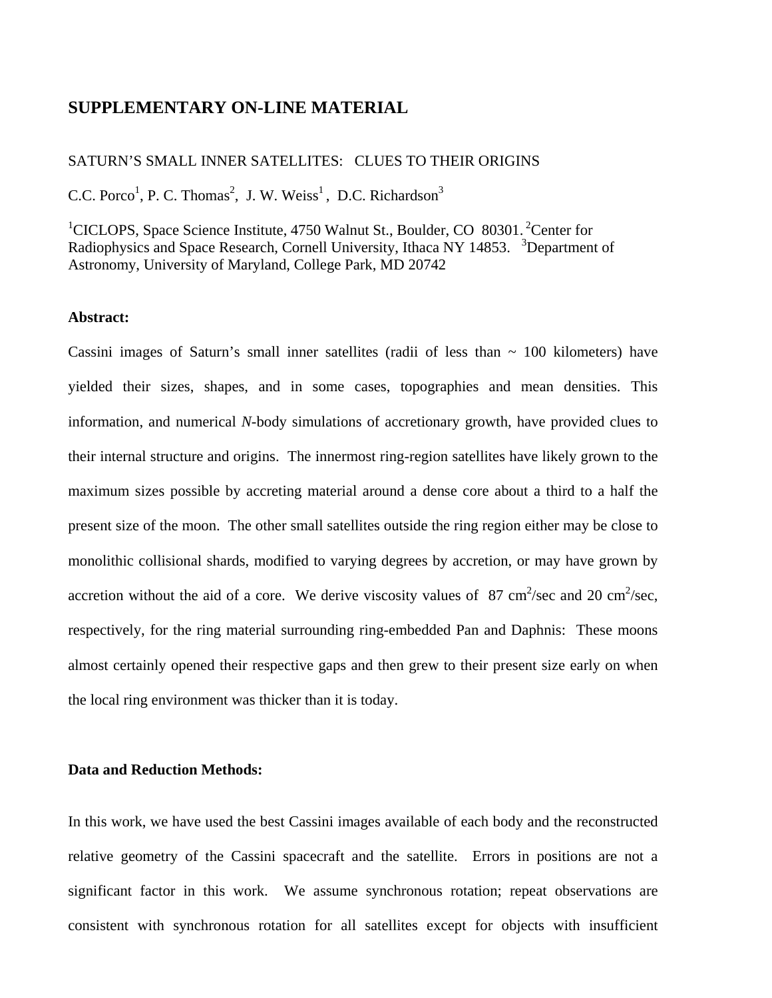## **SUPPLEMENTARY ON-LINE MATERIAL**

### SATURN'S SMALL INNER SATELLITES: CLUES TO THEIR ORIGINS

C.C. Porco<sup>1</sup>, P. C. Thomas<sup>2</sup>, J. W. Weiss<sup>1</sup>, D.C. Richardson<sup>3</sup>

<sup>1</sup>CICLOPS, Space Science Institute, 4750 Walnut St., Boulder, CO 80301.<sup>2</sup> Center for Radiophysics and Space Research, Cornell University, Ithaca NY 14853. <sup>3</sup>Department of Astronomy, University of Maryland, College Park, MD 20742

#### **Abstract:**

Cassini images of Saturn's small inner satellites (radii of less than  $\sim$  100 kilometers) have yielded their sizes, shapes, and in some cases, topographies and mean densities. This information, and numerical *N*-body simulations of accretionary growth, have provided clues to their internal structure and origins. The innermost ring-region satellites have likely grown to the maximum sizes possible by accreting material around a dense core about a third to a half the present size of the moon. The other small satellites outside the ring region either may be close to monolithic collisional shards, modified to varying degrees by accretion, or may have grown by accretion without the aid of a core. We derive viscosity values of 87 cm<sup>2</sup>/sec and 20 cm<sup>2</sup>/sec, respectively, for the ring material surrounding ring-embedded Pan and Daphnis: These moons almost certainly opened their respective gaps and then grew to their present size early on when the local ring environment was thicker than it is today.

## **Data and Reduction Methods:**

In this work, we have used the best Cassini images available of each body and the reconstructed relative geometry of the Cassini spacecraft and the satellite. Errors in positions are not a significant factor in this work. We assume synchronous rotation; repeat observations are consistent with synchronous rotation for all satellites except for objects with insufficient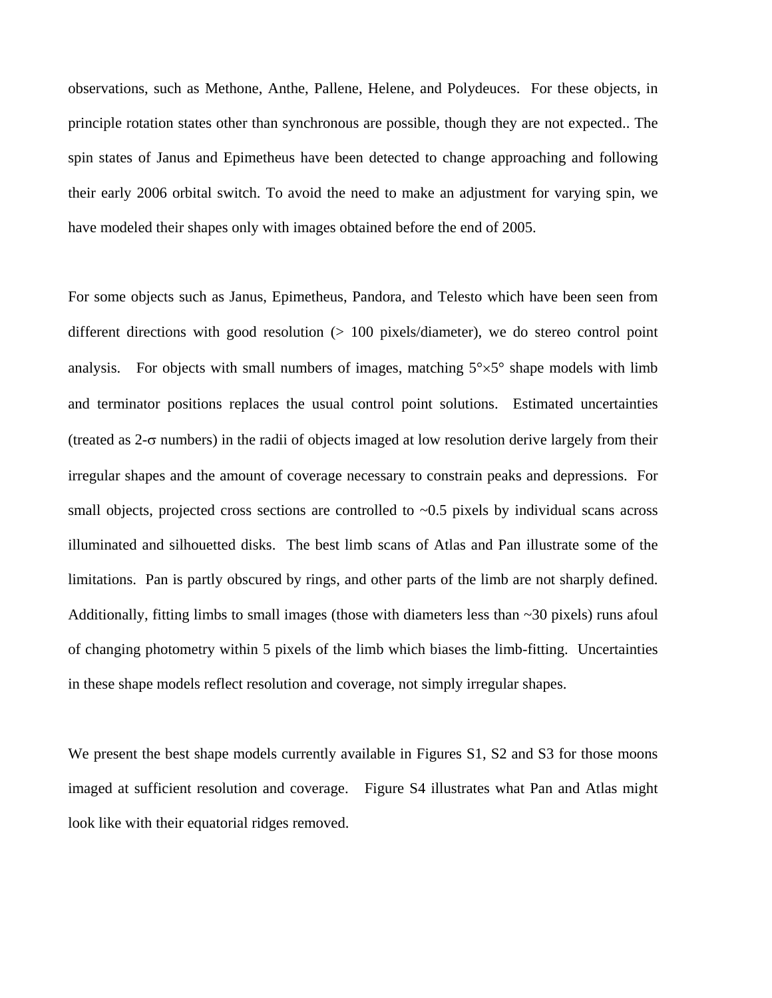observations, such as Methone, Anthe, Pallene, Helene, and Polydeuces. For these objects, in principle rotation states other than synchronous are possible, though they are not expected.. The spin states of Janus and Epimetheus have been detected to change approaching and following their early 2006 orbital switch. To avoid the need to make an adjustment for varying spin, we have modeled their shapes only with images obtained before the end of 2005.

For some objects such as Janus, Epimetheus, Pandora, and Telesto which have been seen from different directions with good resolution  $(> 100$  pixels/diameter), we do stereo control point analysis. For objects with small numbers of images, matching  $5^{\circ} \times 5^{\circ}$  shape models with limb and terminator positions replaces the usual control point solutions. Estimated uncertainties (treated as 2-σ numbers) in the radii of objects imaged at low resolution derive largely from their irregular shapes and the amount of coverage necessary to constrain peaks and depressions. For small objects, projected cross sections are controlled to  $\sim 0.5$  pixels by individual scans across illuminated and silhouetted disks. The best limb scans of Atlas and Pan illustrate some of the limitations. Pan is partly obscured by rings, and other parts of the limb are not sharply defined. Additionally, fitting limbs to small images (those with diameters less than  $\sim$ 30 pixels) runs afoul of changing photometry within 5 pixels of the limb which biases the limb-fitting. Uncertainties in these shape models reflect resolution and coverage, not simply irregular shapes.

We present the best shape models currently available in Figures S1, S2 and S3 for those moons imaged at sufficient resolution and coverage. Figure S4 illustrates what Pan and Atlas might look like with their equatorial ridges removed.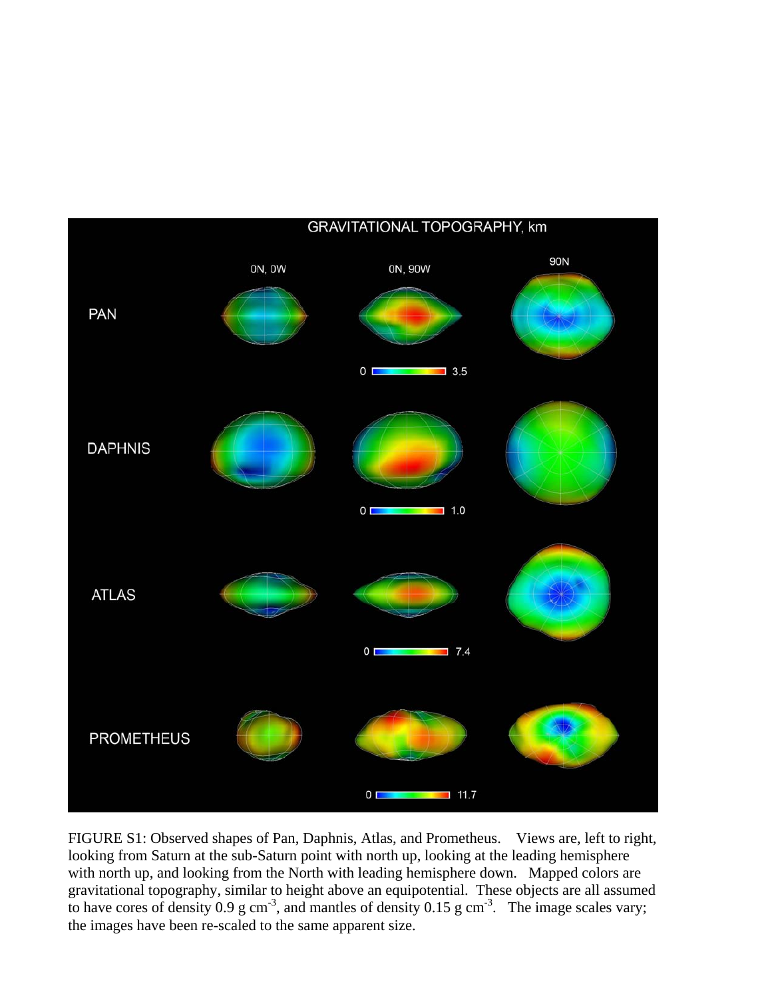

FIGURE S1: Observed shapes of Pan, Daphnis, Atlas, and Prometheus. Views are, left to right, looking from Saturn at the sub-Saturn point with north up, looking at the leading hemisphere with north up, and looking from the North with leading hemisphere down. Mapped colors are gravitational topography, similar to height above an equipotential. These objects are all assumed to have cores of density 0.9 g cm<sup>-3</sup>, and mantles of density 0.15 g cm<sup>-3</sup>. The image scales vary; the images have been re-scaled to the same apparent size.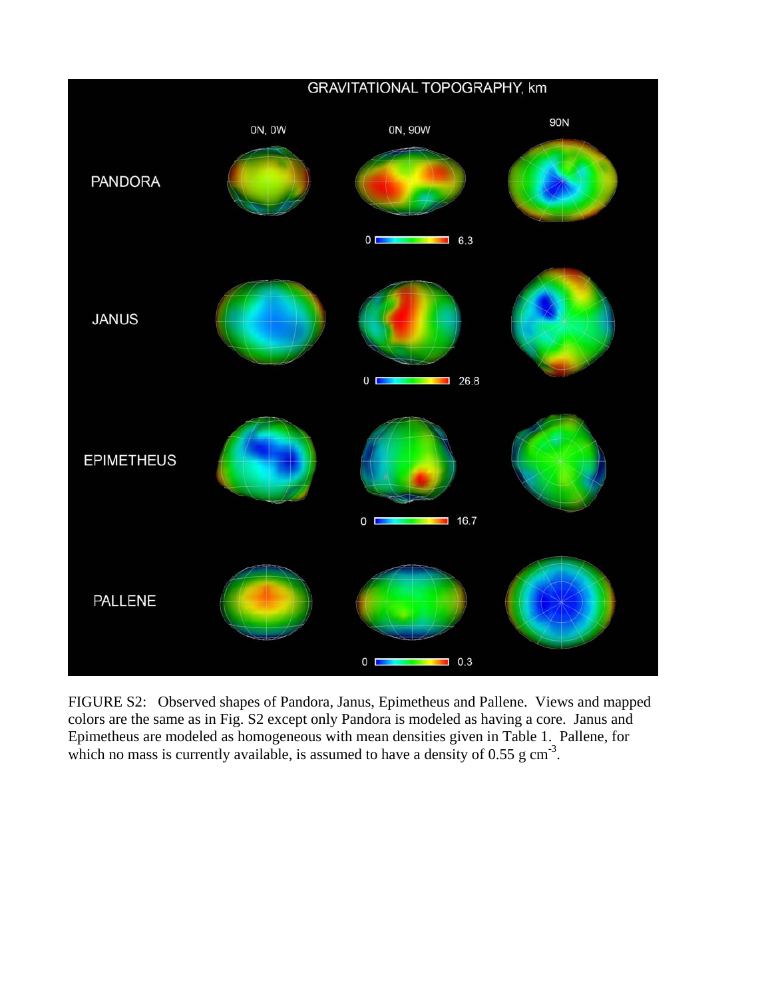

FIGURE S2: Observed shapes of Pandora, Janus, Epimetheus and Pallene. Views and mapped colors are the same as in Fig. S2 except only Pandora is modeled as having a core. Janus and Epimetheus are modeled as homogeneous with mean densities given in Table 1. Pallene, for which no mass is currently available, is assumed to have a density of  $0.55$  g cm<sup>-3</sup>.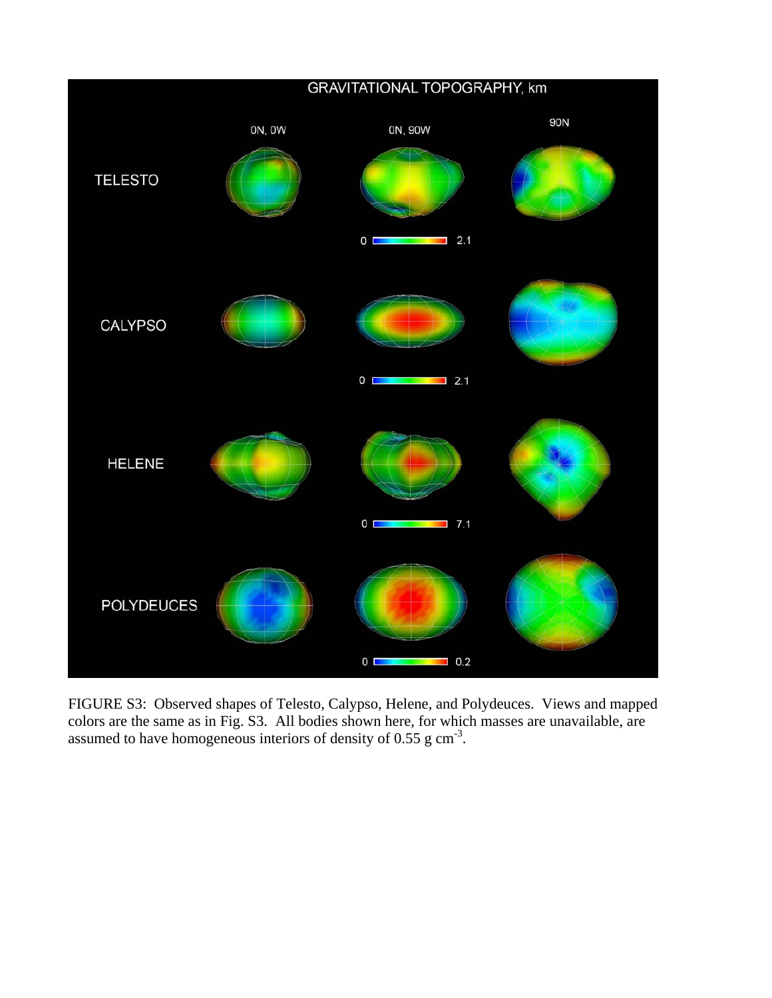

FIGURE S3: Observed shapes of Telesto, Calypso, Helene, and Polydeuces. Views and mapped colors are the same as in Fig. S3. All bodies shown here, for which masses are unavailable, are assumed to have homogeneous interiors of density of 0.55 g cm-3.